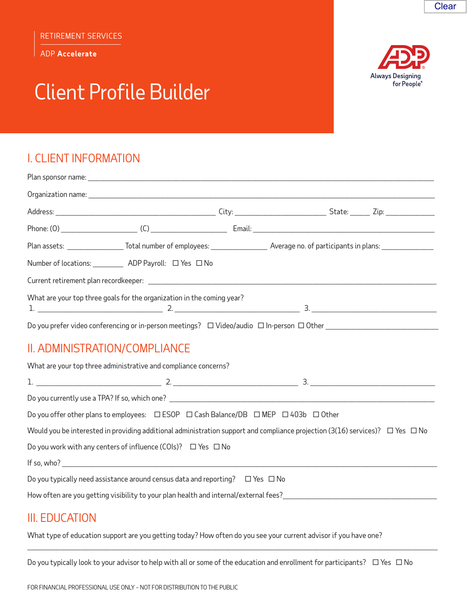**ADP Accelerate** 

# **Client Profile Builder**



| Plan assets: _____________________Total number of employees: ____________________ Average no. of participants in plans: _______________ |  |  |  |  |  |
|-----------------------------------------------------------------------------------------------------------------------------------------|--|--|--|--|--|
| Number of locations: ____________ ADP Payroll: □ Yes □ No                                                                               |  |  |  |  |  |
|                                                                                                                                         |  |  |  |  |  |
| What are your top three goals for the organization in the coming year?                                                                  |  |  |  |  |  |
|                                                                                                                                         |  |  |  |  |  |
| II. ADMINISTRATION/COMPLIANCE                                                                                                           |  |  |  |  |  |
| What are your top three administrative and compliance concerns?                                                                         |  |  |  |  |  |
|                                                                                                                                         |  |  |  |  |  |
|                                                                                                                                         |  |  |  |  |  |
| Do you offer other plans to employees: $\Box$ ESOP $\Box$ Cash Balance/DB $\Box$ MEP $\Box$ 403b $\Box$ Other                           |  |  |  |  |  |
| Would you be interested in providing additional administration support and compliance projection (3(16) services)? $\Box$ Yes $\Box$ No |  |  |  |  |  |
| Do you work with any centers of influence (COIs)? $\Box$ Yes $\Box$ No                                                                  |  |  |  |  |  |
|                                                                                                                                         |  |  |  |  |  |
| Do you typically need assistance around census data and reporting? $\Box$ Yes $\Box$ No                                                 |  |  |  |  |  |
| How often are you getting visibility to your plan health and internal/external fees?                                                    |  |  |  |  |  |

# **III. EDUCATION**

What type of education support are you getting today? How often do you see your current advisor if you have one?

Do you typically look to your advisor to help with all or some of the education and enrollment for participants?  $\Box$  Yes  $\Box$  No

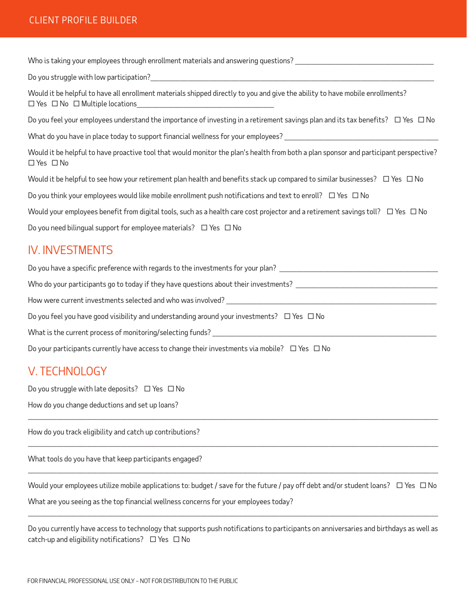#### CLIENT PROFILE BUILDER

Who is taking your employees through enrollment materials and answering questions?

Do you struggle with low participation?

Would it be helpful to have all enrollment materials shipped directly to you and give the ability to have mobile enrollments?  $\Box$  Yes  $\Box$  No  $\Box$  Multiple locations

Do you feel your employees understand the importance of investing in a retirement savings plan and its tax benefits?  $\Box$  Yes  $\Box$  No

What do you have in place today to support financial wellness for your employees?

Would it be helpful to have proactive tool that would monitor the plan's health from both a plan sponsor and participant perspective? □ Yes □ No

Would it be helpful to see how your retirement plan health and benefits stack up compared to similar businesses?  $\Box$  Yes  $\Box$  No

Do you think your employees would like mobile enrollment push notifications and text to enroll?  $\Box$  Yes  $\Box$  No

Would your employees benefit from digital tools, such as a health care cost projector and a retirement savings toll?  $\Box$  Yes  $\Box$  No

Do you need bilingual support for employee materials?  $\Box$  Yes  $\Box$  No

#### IV. INVESTMENTS

Do you have a specific preference with regards to the investments for your plan?

Who do your participants go to today if they have questions about their investments?

How were current investments selected and who was involved?

Do you feel you have good visibility and understanding around your investments?  $\Box$  Yes  $\Box$  No

What is the current process of monitoring/selecting funds?

Do your participants currently have access to change their investments via mobile?  $\Box$  Yes  $\Box$  No

## V. TECHNOLOGY

Do you struggle with late deposits?  $\Box$  Yes  $\Box$  No

How do you change deductions and set up loans?

How do you track eligibility and catch up contributions?

What tools do you have that keep participants engaged?

Would your employees utilize mobile applications to: budget / save for the future / pay off debt and/or student loans?  $\Box$  Yes  $\Box$  No What are you seeing as the top financial wellness concerns for your employees today?

,我们的人们就会在这里的人们,我们也不会在这里的人们,我们也不会在这里的人们,我们也不会在这里的人们,我们也不会在这里的人们,我们也不会在这里的人们,我们也不会<br>第251章 我们的人们,我们的人们的人们,我们的人们的人们,我们的人们的人们的人们,我们的人们的人们的人们,我们的人们的人们的人们,我们的人们的人们,我们的人们

\_\_\_\_\_\_\_\_\_\_\_\_\_\_\_\_\_\_\_\_\_\_\_\_\_\_\_\_\_\_\_\_\_\_\_\_\_\_\_\_\_\_\_\_\_\_\_\_\_\_\_\_\_\_\_\_\_\_\_\_\_\_\_\_\_\_\_\_\_\_\_\_\_\_\_\_\_\_\_\_\_\_\_\_\_\_\_\_\_\_\_\_\_\_\_\_\_\_\_\_\_\_\_\_\_\_\_\_\_\_\_\_\_\_\_\_\_\_\_\_\_\_\_\_\_\_\_\_\_\_\_\_\_\_\_\_\_\_\_\_\_\_\_\_\_\_\_\_\_\_\_\_\_\_\_\_\_\_\_\_\_\_\_\_\_\_\_\_\_\_\_\_\_\_\_\_\_\_\_\_\_\_\_\_\_\_\_\_\_\_\_\_\_\_\_\_\_\_\_\_\_\_\_\_\_\_\_\_\_\_\_\_\_\_\_\_\_\_\_\_\_\_\_\_\_\_\_\_\_\_\_\_\_\_\_\_\_\_\_\_\_\_\_\_\_\_\_\_\_\_\_\_\_\_\_\_\_\_\_\_\_\_\_\_\_\_\_\_\_

\_\_\_\_\_\_\_\_\_\_\_\_\_\_\_\_\_\_\_\_\_\_\_\_\_\_\_\_\_\_\_\_\_\_\_\_\_\_\_\_\_\_\_\_\_\_\_\_\_\_\_\_\_\_\_\_\_\_\_\_\_\_\_\_\_\_\_\_\_\_\_\_\_\_\_\_\_\_\_\_\_\_\_\_\_\_\_\_\_\_\_\_\_\_\_\_\_\_\_\_\_\_\_\_\_\_\_\_\_\_\_\_\_\_\_\_\_\_\_\_\_\_\_\_\_\_\_\_\_\_\_\_\_\_\_\_\_\_\_\_\_\_\_\_\_\_\_\_\_\_\_\_\_\_\_\_\_\_\_\_\_\_\_\_\_\_\_\_\_\_\_\_\_\_\_\_\_\_\_\_\_\_\_\_\_\_\_\_\_\_\_\_\_\_\_\_\_\_\_\_\_\_\_\_\_\_\_\_\_\_\_\_\_\_\_\_\_\_\_\_\_\_\_\_\_\_\_\_\_\_\_\_\_\_\_\_\_\_\_\_\_\_\_\_\_\_\_\_\_\_\_\_\_\_\_\_\_\_\_\_\_\_\_\_\_\_\_\_\_

\_\_\_\_\_\_\_\_\_\_\_\_\_\_\_\_\_\_\_\_\_\_\_\_\_\_\_\_\_\_\_\_\_\_\_\_\_\_\_\_\_\_\_\_\_\_\_\_\_\_\_\_\_\_\_\_\_\_\_\_\_\_\_\_\_\_\_\_\_\_\_\_\_\_\_\_\_\_\_\_\_\_\_\_\_\_\_\_\_\_\_\_\_\_\_\_\_\_\_\_\_\_\_\_\_\_\_\_\_\_\_\_\_\_\_\_\_\_\_\_\_\_\_\_\_\_\_\_\_\_\_\_\_\_\_\_\_\_\_\_\_\_\_\_\_\_\_\_\_\_\_\_\_\_\_\_\_\_\_\_\_\_\_\_\_\_\_\_\_\_\_\_\_\_\_\_\_\_\_\_\_\_\_\_\_\_\_\_\_\_\_\_\_\_\_\_\_\_\_\_\_\_\_\_\_\_\_\_\_\_\_\_\_\_\_\_\_\_\_\_\_\_\_\_\_\_\_\_\_\_\_\_\_\_\_\_\_\_\_\_\_\_\_\_\_\_\_\_\_\_\_\_\_\_\_\_\_\_\_\_\_\_\_\_\_\_\_\_\_

Do you currently have access to technology that supports push notifications to participants on anniversaries and birthdays as well as catch-up and eligibility notifications?  $\Box$  Yes  $\Box$  No